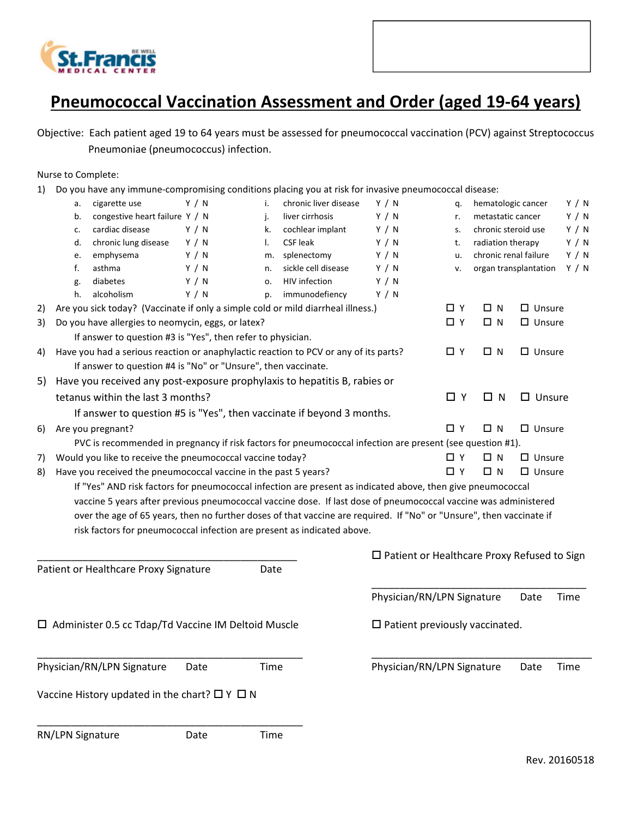

## Pneumococcal Vaccination Assessment and Order (aged 19-64 years)

Objective: Each patient aged 19 to 64 years must be assessed for pneumococcal vaccination (PCV) against Streptococcus Pneumoniae (pneumococcus) infection.

Nurse to Complete:

1) Do you have any immune-compromising conditions placing you at risk for invasive pneumococcal disease:

|                                                               | a.                                                                                                                           | cigarette use                                                                                                                                                                                                                           | Y / N | i.                                                    | chronic liver disease | Y / N                                    | q.         | hematologic cancer    |                       | Y / N |
|---------------------------------------------------------------|------------------------------------------------------------------------------------------------------------------------------|-----------------------------------------------------------------------------------------------------------------------------------------------------------------------------------------------------------------------------------------|-------|-------------------------------------------------------|-----------------------|------------------------------------------|------------|-----------------------|-----------------------|-------|
|                                                               | b.                                                                                                                           | congestive heart failure Y / N                                                                                                                                                                                                          |       | j.                                                    | liver cirrhosis       | Y / N                                    | r.         | metastatic cancer     |                       | Y / N |
|                                                               | c.                                                                                                                           | cardiac disease                                                                                                                                                                                                                         | Y / N | k.                                                    | cochlear implant      | Y / N                                    | s.         | chronic steroid use   |                       | Y / N |
|                                                               | d.                                                                                                                           | chronic lung disease                                                                                                                                                                                                                    | Y / N | I.                                                    | <b>CSF leak</b>       | Y / N                                    | t.         | radiation therapy     |                       | Y / N |
|                                                               | e.                                                                                                                           | emphysema                                                                                                                                                                                                                               | Y / N | m.                                                    | splenectomy           | Y / N                                    | u.         | chronic renal failure |                       | Y / N |
|                                                               | f.                                                                                                                           | asthma                                                                                                                                                                                                                                  | Y / N | n.                                                    | sickle cell disease   | Y / N                                    | ٧.         |                       | organ transplantation | Y / N |
|                                                               | g.                                                                                                                           | diabetes                                                                                                                                                                                                                                | Y / N | 0.                                                    | HIV infection         | Y / N                                    |            |                       |                       |       |
|                                                               | h.                                                                                                                           | alcoholism                                                                                                                                                                                                                              | Y / N | p.                                                    | immunodefiency        | Y / N                                    |            |                       |                       |       |
| 2)                                                            |                                                                                                                              | Are you sick today? (Vaccinate if only a simple cold or mild diarrheal illness.)                                                                                                                                                        |       |                                                       |                       |                                          | ΩY         | ΩN                    | $\Box$ Unsure         |       |
| 3)                                                            | Do you have allergies to neomycin, eggs, or latex?                                                                           |                                                                                                                                                                                                                                         |       |                                                       |                       |                                          | $\Box$ Y   | □Ν                    | $\square$ Unsure      |       |
|                                                               |                                                                                                                              | If answer to question #3 is "Yes", then refer to physician.                                                                                                                                                                             |       |                                                       |                       |                                          |            |                       |                       |       |
| 4)                                                            |                                                                                                                              | Have you had a serious reaction or anaphylactic reaction to PCV or any of its parts?                                                                                                                                                    |       |                                                       |                       |                                          | ΩY         | ΩN                    | $\square$ Unsure      |       |
| If answer to question #4 is "No" or "Unsure", then vaccinate. |                                                                                                                              |                                                                                                                                                                                                                                         |       |                                                       |                       |                                          |            |                       |                       |       |
| 5)                                                            |                                                                                                                              | Have you received any post-exposure prophylaxis to hepatitis B, rabies or                                                                                                                                                               |       |                                                       |                       |                                          |            |                       |                       |       |
|                                                               |                                                                                                                              | tetanus within the last 3 months?                                                                                                                                                                                                       |       |                                                       |                       |                                          | $\Box$ Y   | $\Box$ N              | $\square$ Unsure      |       |
|                                                               |                                                                                                                              | If answer to question #5 is "Yes", then vaccinate if beyond 3 months.                                                                                                                                                                   |       |                                                       |                       |                                          |            |                       |                       |       |
| 6)                                                            |                                                                                                                              | Are you pregnant?                                                                                                                                                                                                                       |       |                                                       |                       |                                          | ΠY         | $\Box$ N              | $\square$ Unsure      |       |
|                                                               |                                                                                                                              | PVC is recommended in pregnancy if risk factors for pneumococcal infection are present (see question #1).                                                                                                                               |       |                                                       |                       |                                          |            |                       |                       |       |
| 7)                                                            |                                                                                                                              |                                                                                                                                                                                                                                         |       |                                                       |                       |                                          | O Y        | ΩN                    | $\Box$ Unsure         |       |
| 8)                                                            | Would you like to receive the pneumococcal vaccine today?<br>Have you received the pneumococcal vaccine in the past 5 years? |                                                                                                                                                                                                                                         |       |                                                       |                       |                                          | <b>D</b> Y | ΩN                    | $\Box$ Unsure         |       |
|                                                               |                                                                                                                              | If "Yes" AND risk factors for pneumococcal infection are present as indicated above, then give pneumococcal                                                                                                                             |       |                                                       |                       |                                          |            |                       |                       |       |
|                                                               |                                                                                                                              |                                                                                                                                                                                                                                         |       |                                                       |                       |                                          |            |                       |                       |       |
|                                                               |                                                                                                                              | vaccine 5 years after previous pneumococcal vaccine dose. If last dose of pneumococcal vaccine was administered<br>over the age of 65 years, then no further doses of that vaccine are required. If "No" or "Unsure", then vaccinate if |       |                                                       |                       |                                          |            |                       |                       |       |
|                                                               |                                                                                                                              |                                                                                                                                                                                                                                         |       |                                                       |                       |                                          |            |                       |                       |       |
|                                                               |                                                                                                                              | risk factors for pneumococcal infection are present as indicated above.                                                                                                                                                                 |       |                                                       |                       |                                          |            |                       |                       |       |
|                                                               |                                                                                                                              |                                                                                                                                                                                                                                         |       | $\square$ Patient or Healthcare Proxy Refused to Sign |                       |                                          |            |                       |                       |       |
|                                                               |                                                                                                                              | Patient or Healthcare Proxy Signature                                                                                                                                                                                                   |       | Date                                                  |                       |                                          |            |                       |                       |       |
|                                                               |                                                                                                                              |                                                                                                                                                                                                                                         |       |                                                       |                       |                                          |            |                       |                       |       |
|                                                               |                                                                                                                              |                                                                                                                                                                                                                                         |       |                                                       |                       | Physician/RN/LPN Signature               |            |                       | Date                  | Time  |
|                                                               |                                                                                                                              |                                                                                                                                                                                                                                         |       |                                                       |                       |                                          |            |                       |                       |       |
|                                                               |                                                                                                                              | □ Administer 0.5 cc Tdap/Td Vaccine IM Deltoid Muscle                                                                                                                                                                                   |       |                                                       |                       | $\square$ Patient previously vaccinated. |            |                       |                       |       |
|                                                               |                                                                                                                              |                                                                                                                                                                                                                                         |       |                                                       |                       |                                          |            |                       |                       |       |
|                                                               |                                                                                                                              |                                                                                                                                                                                                                                         |       |                                                       |                       |                                          |            |                       |                       |       |
|                                                               |                                                                                                                              | Physician/RN/LPN Signature                                                                                                                                                                                                              | Date  | Time                                                  |                       | Physician/RN/LPN Signature               |            |                       | Date                  | Time  |
|                                                               |                                                                                                                              | Vaccine History updated in the chart? $\Box$ Y $\Box$ N                                                                                                                                                                                 |       |                                                       |                       |                                          |            |                       |                       |       |
|                                                               |                                                                                                                              |                                                                                                                                                                                                                                         |       |                                                       |                       |                                          |            |                       |                       |       |
|                                                               |                                                                                                                              |                                                                                                                                                                                                                                         |       |                                                       |                       |                                          |            |                       |                       |       |

RN/LPN Signature Date Time